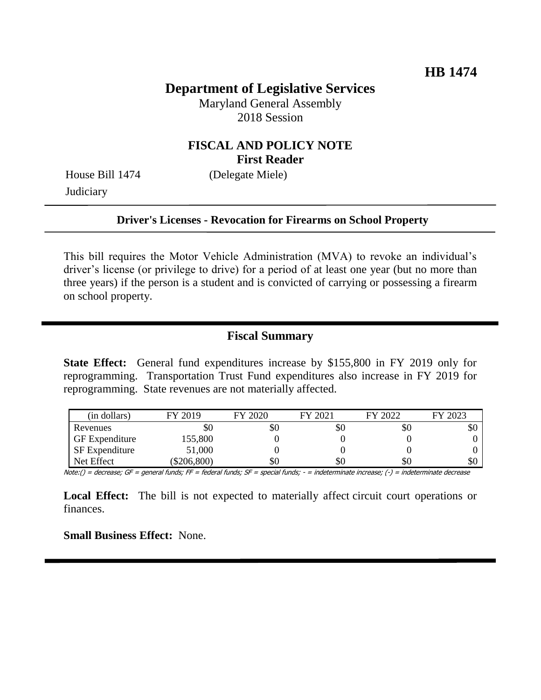# **Department of Legislative Services**

Maryland General Assembly 2018 Session

### **FISCAL AND POLICY NOTE First Reader**

House Bill 1474 (Delegate Miele) **Judiciary** 

#### **Driver's Licenses - Revocation for Firearms on School Property**

This bill requires the Motor Vehicle Administration (MVA) to revoke an individual's driver's license (or privilege to drive) for a period of at least one year (but no more than three years) if the person is a student and is convicted of carrying or possessing a firearm on school property.

### **Fiscal Summary**

**State Effect:** General fund expenditures increase by \$155,800 in FY 2019 only for reprogramming. Transportation Trust Fund expenditures also increase in FY 2019 for reprogramming. State revenues are not materially affected.

| (in dollars)          | FY 2019   | FY 2020 | FY 2021 | FY 2022 | FY 2023 |
|-----------------------|-----------|---------|---------|---------|---------|
| Revenues              | УO        | Y0      | \$0     | \$0     | \$0     |
| <b>GF</b> Expenditure | 155,800   |         |         |         |         |
| <b>SF</b> Expenditure | 51,000    |         |         |         |         |
| Net Effect            | \$206,800 | \$0     | \$0     | \$0     | \$0     |

Note:() = decrease; GF = general funds; FF = federal funds; SF = special funds; - = indeterminate increase; (-) = indeterminate decrease

Local Effect: The bill is not expected to materially affect circuit court operations or finances.

**Small Business Effect:** None.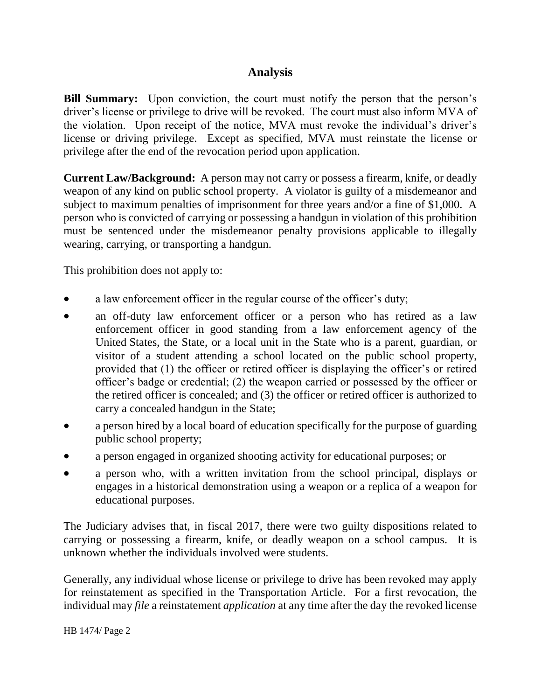## **Analysis**

**Bill Summary:** Upon conviction, the court must notify the person that the person's driver's license or privilege to drive will be revoked. The court must also inform MVA of the violation. Upon receipt of the notice, MVA must revoke the individual's driver's license or driving privilege. Except as specified, MVA must reinstate the license or privilege after the end of the revocation period upon application.

**Current Law/Background:** A person may not carry or possess a firearm, knife, or deadly weapon of any kind on public school property. A violator is guilty of a misdemeanor and subject to maximum penalties of imprisonment for three years and/or a fine of \$1,000. A person who is convicted of carrying or possessing a handgun in violation of this prohibition must be sentenced under the misdemeanor penalty provisions applicable to illegally wearing, carrying, or transporting a handgun.

This prohibition does not apply to:

- a law enforcement officer in the regular course of the officer's duty;
- an off-duty law enforcement officer or a person who has retired as a law enforcement officer in good standing from a law enforcement agency of the United States, the State, or a local unit in the State who is a parent, guardian, or visitor of a student attending a school located on the public school property, provided that (1) the officer or retired officer is displaying the officer's or retired officer's badge or credential; (2) the weapon carried or possessed by the officer or the retired officer is concealed; and (3) the officer or retired officer is authorized to carry a concealed handgun in the State;
- a person hired by a local board of education specifically for the purpose of guarding public school property;
- a person engaged in organized shooting activity for educational purposes; or
- a person who, with a written invitation from the school principal, displays or engages in a historical demonstration using a weapon or a replica of a weapon for educational purposes.

The Judiciary advises that, in fiscal 2017, there were two guilty dispositions related to carrying or possessing a firearm, knife, or deadly weapon on a school campus. It is unknown whether the individuals involved were students.

Generally, any individual whose license or privilege to drive has been revoked may apply for reinstatement as specified in the Transportation Article. For a first revocation, the individual may *file* a reinstatement *application* at any time after the day the revoked license